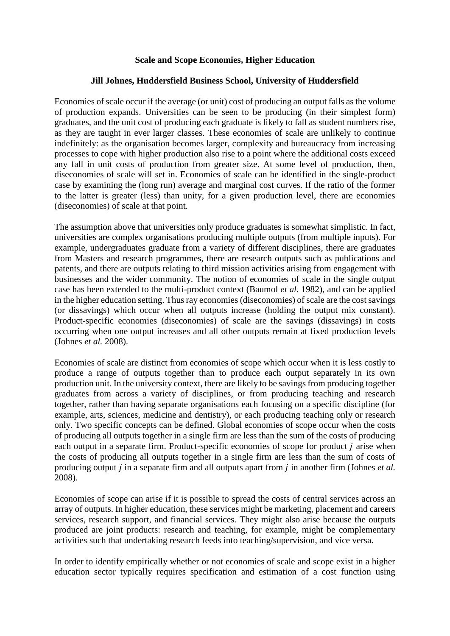## **Scale and Scope Economies, Higher Education**

## **Jill Johnes, Huddersfield Business School, University of Huddersfield**

Economies of scale occur if the average (or unit) cost of producing an output falls as the volume of production expands. Universities can be seen to be producing (in their simplest form) graduates, and the unit cost of producing each graduate is likely to fall as student numbers rise, as they are taught in ever larger classes. These economies of scale are unlikely to continue indefinitely: as the organisation becomes larger, complexity and bureaucracy from increasing processes to cope with higher production also rise to a point where the additional costs exceed any fall in unit costs of production from greater size. At some level of production, then, diseconomies of scale will set in. Economies of scale can be identified in the single-product case by examining the (long run) average and marginal cost curves. If the ratio of the former to the latter is greater (less) than unity, for a given production level, there are economies (diseconomies) of scale at that point.

The assumption above that universities only produce graduates is somewhat simplistic. In fact, universities are complex organisations producing multiple outputs (from multiple inputs). For example, undergraduates graduate from a variety of different disciplines, there are graduates from Masters and research programmes, there are research outputs such as publications and patents, and there are outputs relating to third mission activities arising from engagement with businesses and the wider community. The notion of economies of scale in the single output case has been extended to the multi-product context (Baumol *et al.* 1982), and can be applied in the higher education setting. Thus ray economies (diseconomies) of scale are the cost savings (or dissavings) which occur when all outputs increase (holding the output mix constant). Product-specific economies (diseconomies) of scale are the savings (dissavings) in costs occurring when one output increases and all other outputs remain at fixed production levels (Johnes *et al.* 2008).

Economies of scale are distinct from economies of scope which occur when it is less costly to produce a range of outputs together than to produce each output separately in its own production unit. In the university context, there are likely to be savings from producing together graduates from across a variety of disciplines, or from producing teaching and research together, rather than having separate organisations each focusing on a specific discipline (for example, arts, sciences, medicine and dentistry), or each producing teaching only or research only. Two specific concepts can be defined. Global economies of scope occur when the costs of producing all outputs together in a single firm are less than the sum of the costs of producing each output in a separate firm. Product-specific economies of scope for product  $j$  arise when the costs of producing all outputs together in a single firm are less than the sum of costs of producing output in a separate firm and all outputs apart from in another firm (Johnes *et al.* 2008).

Economies of scope can arise if it is possible to spread the costs of central services across an array of outputs. In higher education, these services might be marketing, placement and careers services, research support, and financial services. They might also arise because the outputs produced are joint products: research and teaching, for example, might be complementary activities such that undertaking research feeds into teaching/supervision, and vice versa.

In order to identify empirically whether or not economies of scale and scope exist in a higher education sector typically requires specification and estimation of a cost function using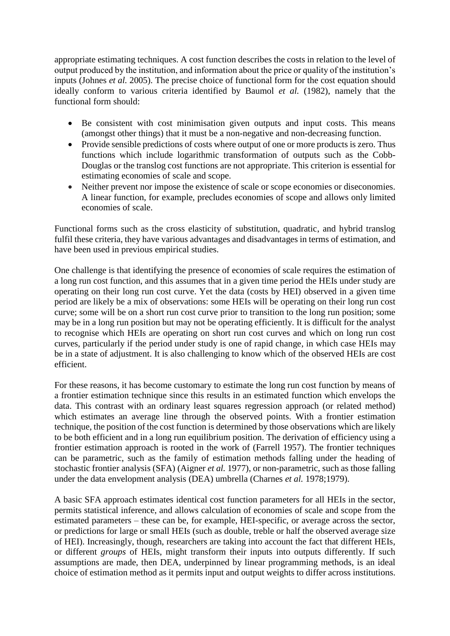appropriate estimating techniques. A cost function describes the costs in relation to the level of output produced by the institution, and information about the price or quality of the institution's inputs (Johnes *et al.* 2005). The precise choice of functional form for the cost equation should ideally conform to various criteria identified by Baumol *et al.* (1982), namely that the functional form should:

- Be consistent with cost minimisation given outputs and input costs. This means (amongst other things) that it must be a non-negative and non-decreasing function.
- Provide sensible predictions of costs where output of one or more products is zero. Thus functions which include logarithmic transformation of outputs such as the Cobb-Douglas or the translog cost functions are not appropriate. This criterion is essential for estimating economies of scale and scope.
- Neither prevent nor impose the existence of scale or scope economies or diseconomies. A linear function, for example, precludes economies of scope and allows only limited economies of scale.

Functional forms such as the cross elasticity of substitution, quadratic, and hybrid translog fulfil these criteria, they have various advantages and disadvantages in terms of estimation, and have been used in previous empirical studies.

One challenge is that identifying the presence of economies of scale requires the estimation of a long run cost function, and this assumes that in a given time period the HEIs under study are operating on their long run cost curve. Yet the data (costs by HEI) observed in a given time period are likely be a mix of observations: some HEIs will be operating on their long run cost curve; some will be on a short run cost curve prior to transition to the long run position; some may be in a long run position but may not be operating efficiently. It is difficult for the analyst to recognise which HEIs are operating on short run cost curves and which on long run cost curves, particularly if the period under study is one of rapid change, in which case HEIs may be in a state of adjustment. It is also challenging to know which of the observed HEIs are cost efficient.

For these reasons, it has become customary to estimate the long run cost function by means of a frontier estimation technique since this results in an estimated function which envelops the data. This contrast with an ordinary least squares regression approach (or related method) which estimates an average line through the observed points. With a frontier estimation technique, the position of the cost function is determined by those observations which are likely to be both efficient and in a long run equilibrium position. The derivation of efficiency using a frontier estimation approach is rooted in the work of (Farrell 1957). The frontier techniques can be parametric, such as the family of estimation methods falling under the heading of stochastic frontier analysis (SFA) (Aigner *et al.* 1977), or non-parametric, such as those falling under the data envelopment analysis (DEA) umbrella (Charnes *et al.* 1978;1979).

A basic SFA approach estimates identical cost function parameters for all HEIs in the sector, permits statistical inference, and allows calculation of economies of scale and scope from the estimated parameters – these can be, for example, HEI-specific, or average across the sector, or predictions for large or small HEIs (such as double, treble or half the observed average size of HEI). Increasingly, though, researchers are taking into account the fact that different HEIs, or different *groups* of HEIs, might transform their inputs into outputs differently. If such assumptions are made, then DEA, underpinned by linear programming methods, is an ideal choice of estimation method as it permits input and output weights to differ across institutions.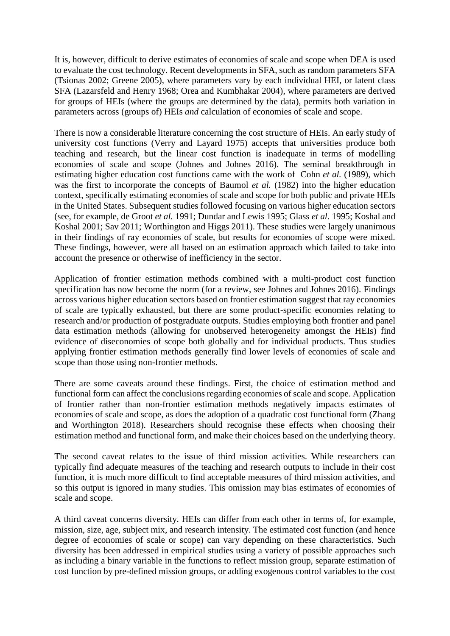It is, however, difficult to derive estimates of economies of scale and scope when DEA is used to evaluate the cost technology. Recent developments in SFA, such as random parameters SFA (Tsionas 2002; Greene 2005), where parameters vary by each individual HEI, or latent class SFA (Lazarsfeld and Henry 1968; Orea and Kumbhakar 2004), where parameters are derived for groups of HEIs (where the groups are determined by the data), permits both variation in parameters across (groups of) HEIs *and* calculation of economies of scale and scope.

There is now a considerable literature concerning the cost structure of HEIs. An early study of university cost functions (Verry and Layard 1975) accepts that universities produce both teaching and research, but the linear cost function is inadequate in terms of modelling economies of scale and scope (Johnes and Johnes 2016). The seminal breakthrough in estimating higher education cost functions came with the work of Cohn *et al.* (1989), which was the first to incorporate the concepts of Baumol *et al.* (1982) into the higher education context, specifically estimating economies of scale and scope for both public and private HEIs in the United States. Subsequent studies followed focusing on various higher education sectors (see, for example, de Groot *et al.* 1991; Dundar and Lewis 1995; Glass *et al.* 1995; Koshal and Koshal 2001; Sav 2011; Worthington and Higgs 2011). These studies were largely unanimous in their findings of ray economies of scale, but results for economies of scope were mixed. These findings, however, were all based on an estimation approach which failed to take into account the presence or otherwise of inefficiency in the sector.

Application of frontier estimation methods combined with a multi-product cost function specification has now become the norm (for a review, see Johnes and Johnes 2016). Findings across various higher education sectors based on frontier estimation suggest that ray economies of scale are typically exhausted, but there are some product-specific economies relating to research and/or production of postgraduate outputs. Studies employing both frontier and panel data estimation methods (allowing for unobserved heterogeneity amongst the HEIs) find evidence of diseconomies of scope both globally and for individual products. Thus studies applying frontier estimation methods generally find lower levels of economies of scale and scope than those using non-frontier methods.

There are some caveats around these findings. First, the choice of estimation method and functional form can affect the conclusions regarding economies of scale and scope. Application of frontier rather than non-frontier estimation methods negatively impacts estimates of economies of scale and scope, as does the adoption of a quadratic cost functional form (Zhang and Worthington 2018). Researchers should recognise these effects when choosing their estimation method and functional form, and make their choices based on the underlying theory.

The second caveat relates to the issue of third mission activities. While researchers can typically find adequate measures of the teaching and research outputs to include in their cost function, it is much more difficult to find acceptable measures of third mission activities, and so this output is ignored in many studies. This omission may bias estimates of economies of scale and scope.

A third caveat concerns diversity. HEIs can differ from each other in terms of, for example, mission, size, age, subject mix, and research intensity. The estimated cost function (and hence degree of economies of scale or scope) can vary depending on these characteristics. Such diversity has been addressed in empirical studies using a variety of possible approaches such as including a binary variable in the functions to reflect mission group, separate estimation of cost function by pre-defined mission groups, or adding exogenous control variables to the cost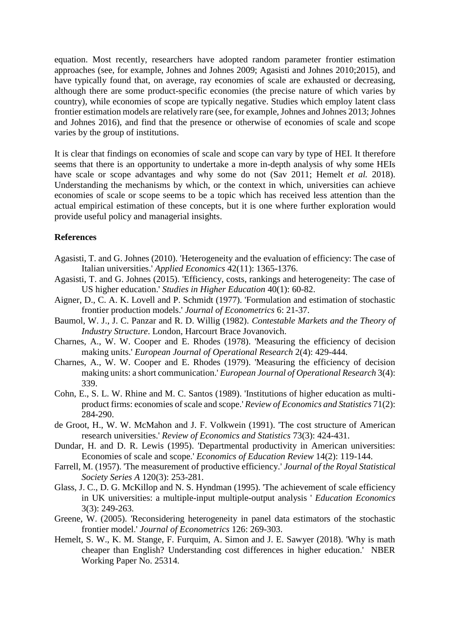equation. Most recently, researchers have adopted random parameter frontier estimation approaches (see, for example, Johnes and Johnes 2009; Agasisti and Johnes 2010;2015), and have typically found that, on average, ray economies of scale are exhausted or decreasing, although there are some product-specific economies (the precise nature of which varies by country), while economies of scope are typically negative. Studies which employ latent class frontier estimation models are relatively rare (see, for example, Johnes and Johnes 2013; Johnes and Johnes 2016), and find that the presence or otherwise of economies of scale and scope varies by the group of institutions.

It is clear that findings on economies of scale and scope can vary by type of HEI. It therefore seems that there is an opportunity to undertake a more in-depth analysis of why some HEIs have scale or scope advantages and why some do not (Sav 2011; Hemelt *et al.* 2018). Understanding the mechanisms by which, or the context in which, universities can achieve economies of scale or scope seems to be a topic which has received less attention than the actual empirical estimation of these concepts, but it is one where further exploration would provide useful policy and managerial insights.

## **References**

- Agasisti, T. and G. Johnes (2010). 'Heterogeneity and the evaluation of efficiency: The case of Italian universities.' *Applied Economics* 42(11): 1365-1376.
- Agasisti, T. and G. Johnes (2015). 'Efficiency, costs, rankings and heterogeneity: The case of US higher education.' *Studies in Higher Education* 40(1): 60-82.
- Aigner, D., C. A. K. Lovell and P. Schmidt (1977). 'Formulation and estimation of stochastic frontier production models.' *Journal of Econometrics* 6: 21-37.
- Baumol, W. J., J. C. Panzar and R. D. Willig (1982). *Contestable Markets and the Theory of Industry Structure*. London, Harcourt Brace Jovanovich.
- Charnes, A., W. W. Cooper and E. Rhodes (1978). 'Measuring the efficiency of decision making units.' *European Journal of Operational Research* 2(4): 429-444.
- Charnes, A., W. W. Cooper and E. Rhodes (1979). 'Measuring the efficiency of decision making units: a short communication.' *European Journal of Operational Research* 3(4): 339.
- Cohn, E., S. L. W. Rhine and M. C. Santos (1989). 'Institutions of higher education as multiproduct firms: economies of scale and scope.' *Review of Economics and Statistics* 71(2): 284-290.
- de Groot, H., W. W. McMahon and J. F. Volkwein (1991). 'The cost structure of American research universities.' *Review of Economics and Statistics* 73(3): 424-431.
- Dundar, H. and D. R. Lewis (1995). 'Departmental productivity in American universities: Economies of scale and scope.' *Economics of Education Review* 14(2): 119-144.
- Farrell, M. (1957). 'The measurement of productive efficiency.' *Journal of the Royal Statistical Society Series A* 120(3): 253-281.
- Glass, J. C., D. G. McKillop and N. S. Hyndman (1995). 'The achievement of scale efficiency in UK universities: a multiple-input multiple-output analysis ' *Education Economics* 3(3): 249-263.
- Greene, W. (2005). 'Reconsidering heterogeneity in panel data estimators of the stochastic frontier model.' *Journal of Econometrics* 126: 269-303.
- Hemelt, S. W., K. M. Stange, F. Furquim, A. Simon and J. E. Sawyer (2018). 'Why is math cheaper than English? Understanding cost differences in higher education.' NBER Working Paper No. 25314.